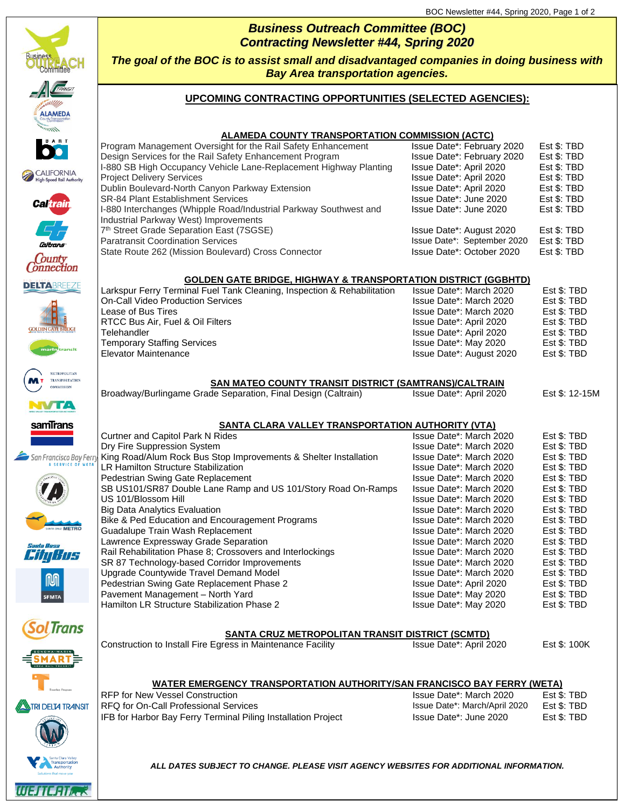

| <b>Contracting Newsletter #44, Spring 2020</b>                                            |
|-------------------------------------------------------------------------------------------|
| The goal of the BOC is to assist small and disadvantaged companies in doing business with |
| <b>Bay Area transportation agencies.</b>                                                  |

*Business Outreach Committee (BOC)*

### **UPCOMING CONTRACTING OPPORTUNITIES (SELECTED AGENCIES):**

### **ALAMEDA COUNTY TRANSPORTATION COMMISSION (ACTC)**

| Program Management Oversight for the Rail Safety Enhancement      | Issue Date*: February 2020  | Est \$: TBD |
|-------------------------------------------------------------------|-----------------------------|-------------|
| Design Services for the Rail Safety Enhancement Program           | Issue Date*: February 2020  | Est \$: TBD |
| I-880 SB High Occupancy Vehicle Lane-Replacement Highway Planting | Issue Date*: April 2020     | Est \$: TBD |
| <b>Project Delivery Services</b>                                  | Issue Date*: April 2020     | Est \$: TBD |
| Dublin Boulevard-North Canyon Parkway Extension                   | Issue Date*: April 2020     | Est \$: TBD |
| <b>SR-84 Plant Establishment Services</b>                         | Issue Date*: June 2020      | Est \$: TBD |
| I-880 Interchanges (Whipple Road/Industrial Parkway Southwest and | Issue Date*: June 2020      | Est \$: TBD |
| Industrial Parkway West) Improvements                             |                             |             |
| 7 <sup>th</sup> Street Grade Separation East (7SGSE)              | Issue Date*: August 2020    | Est \$: TBD |
| <b>Paratransit Coordination Services</b>                          | Issue Date*: September 2020 | Est \$: TBD |
| State Route 262 (Mission Boulevard) Cross Connector               | Issue Date*: October 2020   | Est \$: TBD |
|                                                                   |                             |             |

### **GOLDEN GATE BRIDGE, HIGHWAY & TRANSPORTATION DISTRICT (GGBHTD)**

| s | Larkspur Ferry Terminal Fuel Tank Cleaning, Inspection & Rehabilitation | Issue Date*: March 2020  | Est \$: TBD |
|---|-------------------------------------------------------------------------|--------------------------|-------------|
|   | <b>On-Call Video Production Services</b>                                | Issue Date*: March 2020  | Est \$: TBD |
|   | Lease of Bus Tires                                                      | Issue Date*: March 2020  | Est \$: TBD |
|   | RTCC Bus Air, Fuel & Oil Filters                                        | Issue Date*: April 2020  | Est \$: TBD |
|   | Telehandler                                                             | Issue Date*: April 2020  | Est \$: TBD |
|   | <b>Temporary Staffing Services</b>                                      | Issue Date*: May 2020    | Est \$: TBD |
|   | Elevator Maintenance                                                    | Issue Date*: August 2020 | Est \$: TBD |
|   |                                                                         |                          |             |

### **SAN MATEO COUNTY TRANSIT DISTRICT (SAMTRANS)/CALTRAIN**

| Broadway/Burlingame Grade Separation, Final Design (Caltrain) | Issue Date*: April 2020 | Est \$: 12-15M |
|---------------------------------------------------------------|-------------------------|----------------|
| <b>SANTA CLARA VALLEY TRANSPORTATION AUTHORITY (VTA)</b>      |                         |                |

### Curtner and Capitol Park N Rides Issue Date\*: March 2020 Est \$: TBD Dry Fire Suppression System Incorements & Shelter Installation Insue Date\*: March 2020 Est \$: TBD<br>Issue Date\*: March 2020 Est \$: TBD King Road/Alum Rock Bus Stop Improvements & Shelter Installation Issue Date\*: March 2020 **A** SERVICE OF LR Hamilton Structure Stabilization **Interpretion Control Control Control** Issue Date\*: March 2020 Est \$: TBD<br>Pedestrian Swing Gate Replacement **Issue Datet Control Control Control Control** Issue Date\*: March 2020 Est \$: T Pedestrian Swing Gate Replacement Issue Date\*: March 2020 Est \$: TBD<br>SB US101/SR87 Double Lane Ramp and US 101/Story Road On-Ramps Issue Date\*: March 2020 Est \$: TBD SB US101/SR87 Double Lane Ramp and US 101/Story Road On-Ramps Issue Date\*: March 2020 Est \$: TBD<br>US 101/Blossom Hill Issue Date\*: March 2020 Est \$: TBD Issue Date\*: March 2020 Big Data Analytics Evaluation **Issue Datex**: March 2020 Est \$: TBD Bike & Ped Education and Encouragement Programs Issue Date\*: March 2020 Est \$: TBD Guadalupe Train Wash Replacement **Internal 2010** Supervisory Cassue Date<sup>\*</sup>: March 2020 Est \$: TBD Lawrence Expressway Grade Separation **Issue Datex: March 2020** Est \$: TBD Rail Rehabilitation Phase 8; Crossovers and Interlockings Issue Date\*: March 2020 Est \$: TBD Sin Hus SR 87 Technology-based Corridor Improvements Issue Date\*: March 2020 Est \$: TBD Upgrade Countywide Travel Demand Model **Inc. 2008** Issue Date\*: March 2020 Est \$: TBD Pedestrian Swing Gate Replacement Phase 2 **Issue Date\*: April 2020** Est \$: TBD Pavement Management – North Yard Issue Date\*: May 2020 Est \$: TBD Hamilton LR Structure Stabilization Phase 2 **Issue Datex**: May 2020 Est \$: TBD

### **SANTA CRUZ METROPOLITAN TRANSIT DISTRICT (SCMTD)**

Construction to Install Fire Egress in Maintenance Facility **In Accument Construction 1** Issue Date\*: April 2020 Est \$: 100K

# **TRI DELTA TRANSIT**

WESTERTA

**LTrans** 

### **WATER EMERGENCY TRANSPORTATION AUTHORITY/SAN FRANCISCO BAY FERRY (WETA)**

RFQ for On-Call Professional Services **In the Call Accord Call Accord Professional Services** Issue Date\*: March/April 2020 Est \$: TBD IFB for Harbor Bay Ferry Terminal Piling Installation Project Issue Date\*: June 2020 Est \$: TBD

RFP for New Vessel Construction **Issue Datex**: March 2020 Est \$: TBD

*ALL DATES SUBJECT TO CHANGE. PLEASE VISIT AGENCY WEBSITES FOR ADDITIONAL INFORMATION.*